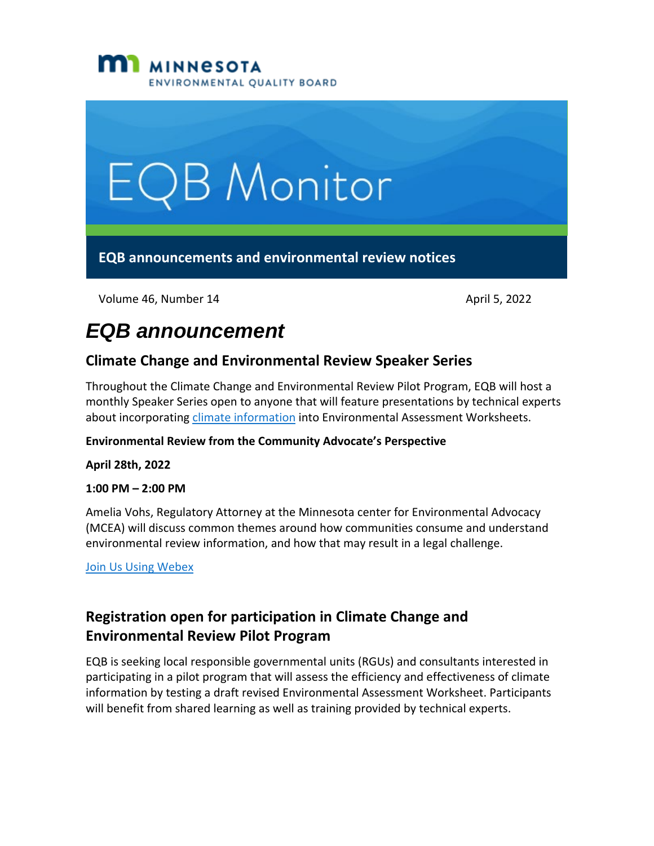



Volume 46, Number 14 April 5, 2022

# *EQB announcement*

### **Climate Change and Environmental Review Speaker Series**

Throughout the Climate Change and Environmental Review Pilot Program, EQB will host a monthly Speaker Series open to anyone that will feature presentations by technical experts about incorporating [climate information](https://www.eqb.state.mn.us/content/climate-change-and-environmental-review-pilot-program) into Environmental Assessment Worksheets.

#### **Environmental Review from the Community Advocate's Perspective**

**April 28th, 2022**

#### **1:00 PM – 2:00 PM**

Amelia Vohs, Regulatory Attorney at the Minnesota center for Environmental Advocacy (MCEA) will discuss common themes around how communities consume and understand environmental review information, and how that may result in a legal challenge.

[Join Us Using Webex](https://minnesota.webex.com/minnesota/j.php?MTID=m1dac7af3241b61200264fece8e530299)

# **Registration open for participation in Climate Change and Environmental Review Pilot Program**

EQB is seeking local responsible governmental units (RGUs) and consultants interested in participating in a pilot program that will assess the efficiency and effectiveness of climate information by testing a draft revised Environmental Assessment Worksheet. Participants will benefit from shared learning as well as training provided by technical experts.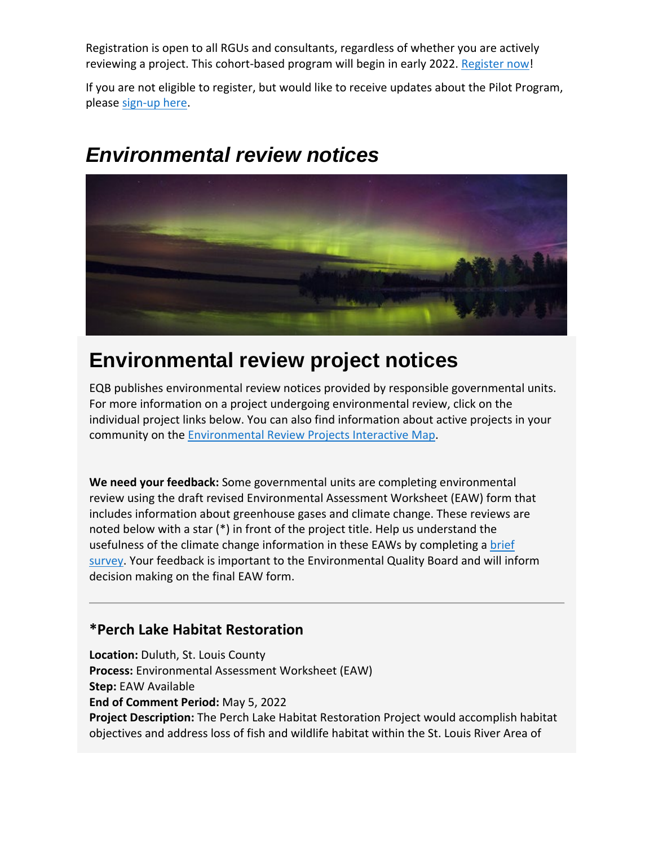Registration is open to all RGUs and consultants, regardless of whether you are actively reviewing a project. This cohort-based program will begin in early 2022. [Register now!](https://survey.mn.gov/s.asp?k=163603591800)

If you are not eligible to register, but would like to receive updates about the Pilot Program, please [sign-up here.](https://public.govdelivery.com/accounts/MNEQB/subscriber/new?topic_id=MNEQB_60)



# *Environmental review notices*

# **Environmental review project notices**

EQB publishes environmental review notices provided by responsible governmental units. For more information on a project undergoing environmental review, click on the individual project links below. You can also find information about active projects in your community on the [Environmental Review Projects Interactive Map.](https://gcc02.safelinks.protection.outlook.com/?url=https%3A%2F%2Fmpca.maps.arcgis.com%2Fapps%2Fwebappviewer%2Findex.html%3Fid%3D2cb4bf017b21490d9af80cb081a3a279&data=04%7C01%7CKatrina.Hapka%40state.mn.us%7Cfe8a76ecd0cc4099712d08da16fc779f%7Ceb14b04624c445198f26b89c2159828c%7C0%7C0%7C637847571437870962%7CUnknown%7CTWFpbGZsb3d8eyJWIjoiMC4wLjAwMDAiLCJQIjoiV2luMzIiLCJBTiI6Ik1haWwiLCJXVCI6Mn0%3D%7C3000&sdata=9Dh8uqujW%2FAPI0SZgvASHJlMs5vKsWR4GGRJdWP4zTQ%3D&reserved=0)

**We need your feedback:** Some governmental units are completing environmental review using the draft revised Environmental Assessment Worksheet (EAW) form that includes information about greenhouse gases and climate change. These reviews are noted below with a star (\*) in front of the project title. Help us understand the usefulness of the climate change information in these EAWs by completing a [brief](https://survey.mn.gov/s.asp?k=164495461538) [survey.](https://survey.mn.gov/s.asp?k=164495461538) Your feedback is important to the Environmental Quality Board and will inform decision making on the final EAW form.

#### **\*Perch Lake Habitat Restoration**

**Location:** Duluth, St. Louis County **Process:** Environmental Assessment Worksheet (EAW) **Step:** EAW Available **End of Comment Period:** May 5, 2022 **Project Description:** The Perch Lake Habitat Restoration Project would accomplish habitat objectives and address loss of fish and wildlife habitat within the St. Louis River Area of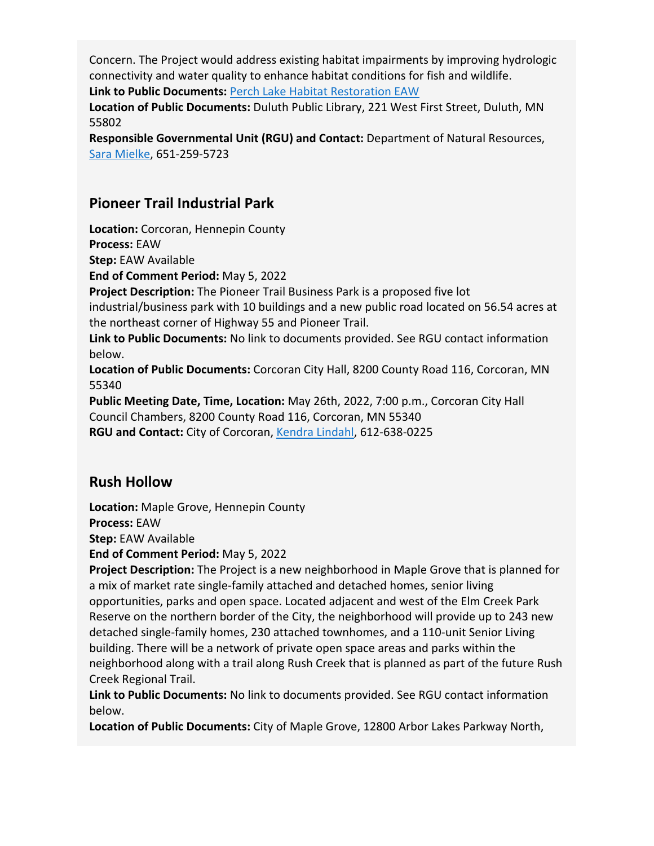Concern. The Project would address existing habitat impairments by improving hydrologic connectivity and water quality to enhance habitat conditions for fish and wildlife. **Link to Public Documents:** [Perch Lake Habitat Restoration EAW](https://www.dnr.state.mn.us/input/environmentalreview/perch-lake/index.html)

**Location of Public Documents:** Duluth Public Library, 221 West First Street, Duluth, MN 55802

**Responsible Governmental Unit (RGU) and Contact:** Department of Natural Resources, [Sara Mielke,](mailto:environmentalrev.dnr@state.mn.us) 651-259-5723

#### **Pioneer Trail Industrial Park**

**Location:** Corcoran, Hennepin County **Process:** EAW

**Step:** EAW Available

**End of Comment Period:** May 5, 2022

**Project Description:** The Pioneer Trail Business Park is a proposed five lot industrial/business park with 10 buildings and a new public road located on 56.54 acres at the northeast corner of Highway 55 and Pioneer Trail.

**Link to Public Documents:** No link to documents provided. See RGU contact information below.

**Location of Public Documents:** Corcoran City Hall, 8200 County Road 116, Corcoran, MN 55340

**Public Meeting Date, Time, Location:** May 26th, 2022, 7:00 p.m., Corcoran City Hall Council Chambers, 8200 County Road 116, Corcoran, MN 55340 RGU and Contact: City of Corcoran, [Kendra Lindahl,](mailto:klindahl@landform.net) 612-638-0225

#### **Rush Hollow**

**Location:** Maple Grove, Hennepin County

**Process:** EAW

**Step:** EAW Available

**End of Comment Period:** May 5, 2022

**Project Description:** The Project is a new neighborhood in Maple Grove that is planned for a mix of market rate single-family attached and detached homes, senior living opportunities, parks and open space. Located adjacent and west of the Elm Creek Park Reserve on the northern border of the City, the neighborhood will provide up to 243 new detached single-family homes, 230 attached townhomes, and a 110-unit Senior Living building. There will be a network of private open space areas and parks within the neighborhood along with a trail along Rush Creek that is planned as part of the future Rush Creek Regional Trail.

**Link to Public Documents:** No link to documents provided. See RGU contact information below.

**Location of Public Documents:** City of Maple Grove, 12800 Arbor Lakes Parkway North,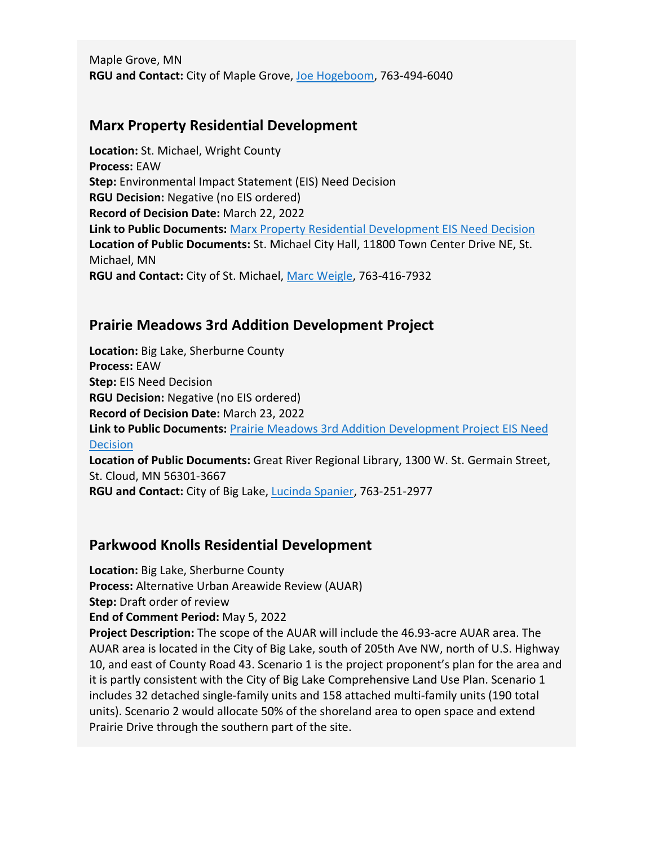Maple Grove, MN **RGU and Contact:** City of Maple Grove, [Joe Hogeboom,](mailto:communitydevelopment@maplegrovemn.gov) 763-494-6040

#### **Marx Property Residential Development**

**Location:** St. Michael, Wright County **Process:** EAW **Step:** Environmental Impact Statement (EIS) Need Decision **RGU Decision:** Negative (no EIS ordered) **Record of Decision Date:** March 22, 2022 **Link to Public Documents:** [Marx Property Residential Development EIS Need Decision](https://gcc02.safelinks.protection.outlook.com/?url=https%3A%2F%2Fstmichaelmn.gov%2Fvertical%2Fsites%2F%257BB38B49FF-2E8E-4C5F-AB24-D151A5DAB43E%257D%2Fuploads%2FMarx_Property_EAW_RecordofDecision220322.pdf&data=04%7C01%7CKatrina.Hapka%40state.mn.us%7Cfe8a76ecd0cc4099712d08da16fc779f%7Ceb14b04624c445198f26b89c2159828c%7C0%7C0%7C637847571437870962%7CUnknown%7CTWFpbGZsb3d8eyJWIjoiMC4wLjAwMDAiLCJQIjoiV2luMzIiLCJBTiI6Ik1haWwiLCJXVCI6Mn0%3D%7C3000&sdata=AWQSVKrtkgzLvJbFFWHNPEHIx1V98mpv5g3QR9zSI48%3D&reserved=0) **Location of Public Documents:** St. Michael City Hall, 11800 Town Center Drive NE, St. Michael, MN **RGU and Contact:** City of St. Michael, [Marc Weigle,](mailto:marcw@stmichaelmn.gov) 763-416-7932

#### **Prairie Meadows 3rd Addition Development Project**

**Location:** Big Lake, Sherburne County **Process:** EAW **Step:** EIS Need Decision **RGU Decision:** Negative (no EIS ordered) **Record of Decision Date:** March 23, 2022 **Link to Public Documents:** [Prairie Meadows 3rd Addition Development Project EIS Need](https://gcc02.safelinks.protection.outlook.com/?url=https%3A%2F%2Fwww.biglakemn.org%2FDocumentCenter%2FView%2F3991%2FPrairie-Meadows-EAW---FOFCROD-Document-and-Appendices&data=04%7C01%7CKatrina.Hapka%40state.mn.us%7Cfe8a76ecd0cc4099712d08da16fc779f%7Ceb14b04624c445198f26b89c2159828c%7C0%7C0%7C637847571437870962%7CUnknown%7CTWFpbGZsb3d8eyJWIjoiMC4wLjAwMDAiLCJQIjoiV2luMzIiLCJBTiI6Ik1haWwiLCJXVCI6Mn0%3D%7C3000&sdata=99GA2C0NwzzcOliGvcw7qYr1YnI%2FcfdlIJVDIUeXgJY%3D&reserved=0)  [Decision](https://gcc02.safelinks.protection.outlook.com/?url=https%3A%2F%2Fwww.biglakemn.org%2FDocumentCenter%2FView%2F3991%2FPrairie-Meadows-EAW---FOFCROD-Document-and-Appendices&data=04%7C01%7CKatrina.Hapka%40state.mn.us%7Cfe8a76ecd0cc4099712d08da16fc779f%7Ceb14b04624c445198f26b89c2159828c%7C0%7C0%7C637847571437870962%7CUnknown%7CTWFpbGZsb3d8eyJWIjoiMC4wLjAwMDAiLCJQIjoiV2luMzIiLCJBTiI6Ik1haWwiLCJXVCI6Mn0%3D%7C3000&sdata=99GA2C0NwzzcOliGvcw7qYr1YnI%2FcfdlIJVDIUeXgJY%3D&reserved=0) **Location of Public Documents:** Great River Regional Library, 1300 W. St. Germain Street, St. Cloud, MN 56301-3667 **RGU and Contact:** City of Big Lake, [Lucinda Spanier,](mailto:lspanier@biglakemn.org) 763-251-2977

#### **Parkwood Knolls Residential Development**

**Location:** Big Lake, Sherburne County **Process:** Alternative Urban Areawide Review (AUAR) **Step:** Draft order of review **End of Comment Period:** May 5, 2022 **Project Description:** The scope of the AUAR will include the 46.93-acre AUAR area. The AUAR area is located in the City of Big Lake, south of 205th Ave NW, north of U.S. Highway 10, and east of County Road 43. Scenario 1 is the project proponent's plan for the area and it is partly consistent with the City of Big Lake Comprehensive Land Use Plan. Scenario 1 includes 32 detached single-family units and 158 attached multi-family units (190 total units). Scenario 2 would allocate 50% of the shoreland area to open space and extend Prairie Drive through the southern part of the site.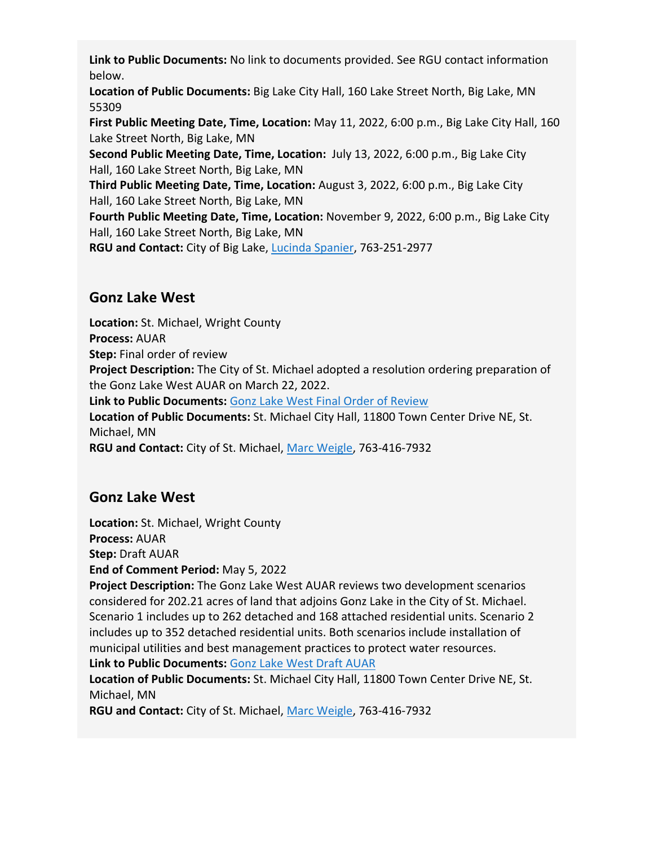**Link to Public Documents:** No link to documents provided. See RGU contact information below.

**Location of Public Documents:** Big Lake City Hall, 160 Lake Street North, Big Lake, MN 55309

**First Public Meeting Date, Time, Location:** May 11, 2022, 6:00 p.m., Big Lake City Hall, 160 Lake Street North, Big Lake, MN

**Second Public Meeting Date, Time, Location:** July 13, 2022, 6:00 p.m., Big Lake City Hall, 160 Lake Street North, Big Lake, MN

**Third Public Meeting Date, Time, Location:** August 3, 2022, 6:00 p.m., Big Lake City Hall, 160 Lake Street North, Big Lake, MN

**Fourth Public Meeting Date, Time, Location:** November 9, 2022, 6:00 p.m., Big Lake City Hall, 160 Lake Street North, Big Lake, MN

**RGU and Contact:** City of Big Lake, [Lucinda Spanier,](mailto:lspanier@biglakemn.org) 763-251-2977

### **Gonz Lake West**

**Location:** St. Michael, Wright County **Process:** AUAR **Step:** Final order of review **Project Description:** The City of St. Michael adopted a resolution ordering preparation of the Gonz Lake West AUAR on March 22, 2022. **Link to Public Documents:** [Gonz Lake West Final Order of Review](https://gcc02.safelinks.protection.outlook.com/?url=https%3A%2F%2Fstmichaelmn.gov%2Fvertical%2Fsites%2F%257BB38B49FF-2E8E-4C5F-AB24-D151A5DAB43E%257D%2Fuploads%2FFinal_Order_GonzLakeWestAUAR_220322.pdf&data=04%7C01%7CKatrina.Hapka%40state.mn.us%7Cfe8a76ecd0cc4099712d08da16fc779f%7Ceb14b04624c445198f26b89c2159828c%7C0%7C0%7C637847571437870962%7CUnknown%7CTWFpbGZsb3d8eyJWIjoiMC4wLjAwMDAiLCJQIjoiV2luMzIiLCJBTiI6Ik1haWwiLCJXVCI6Mn0%3D%7C3000&sdata=tGHEUDgkTWUM3WXdQ8yt%2FrQTA0ZWaIDsw%2Bc2%2FAaHa%2FA%3D&reserved=0) **Location of Public Documents:** St. Michael City Hall, 11800 Town Center Drive NE, St. Michael, MN **RGU and Contact:** City of St. Michael, [Marc Weigle,](mailto:marcw@stmichaelmn.gov) 763-416-7932

# **Gonz Lake West**

**Location:** St. Michael, Wright County **Process:** AUAR

**Step:** Draft AUAR

**End of Comment Period:** May 5, 2022

**Project Description:** The Gonz Lake West AUAR reviews two development scenarios considered for 202.21 acres of land that adjoins Gonz Lake in the City of St. Michael. Scenario 1 includes up to 262 detached and 168 attached residential units. Scenario 2 includes up to 352 detached residential units. Both scenarios include installation of municipal utilities and best management practices to protect water resources.

**Link to Public Documents:** [Gonz Lake West Draft AUAR](https://gcc02.safelinks.protection.outlook.com/?url=https%3A%2F%2Fstmichaelmn.gov%2Fvertical%2Fsites%2F%257BB38B49FF-2E8E-4C5F-AB24-D151A5DAB43E%257D%2Fuploads%2FGonzLakeWestDraftAUAR_220329.pdf&data=04%7C01%7CKatrina.Hapka%40state.mn.us%7Cfe8a76ecd0cc4099712d08da16fc779f%7Ceb14b04624c445198f26b89c2159828c%7C0%7C0%7C637847571437870962%7CUnknown%7CTWFpbGZsb3d8eyJWIjoiMC4wLjAwMDAiLCJQIjoiV2luMzIiLCJBTiI6Ik1haWwiLCJXVCI6Mn0%3D%7C3000&sdata=xAUggPHVhSWUSnLV4fMDsTO%2BTN%2FO8KAYFSW2AigQLNg%3D&reserved=0)

**Location of Public Documents:** St. Michael City Hall, 11800 Town Center Drive NE, St. Michael, MN

**RGU and Contact:** City of St. Michael, [Marc Weigle,](mailto:marcw@stmichaelmn.gov) 763-416-7932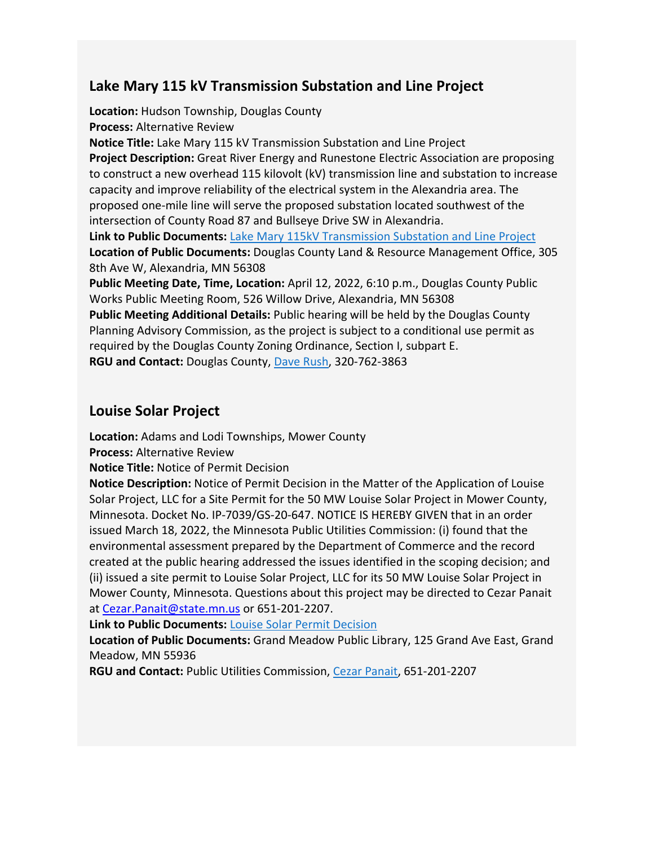### **Lake Mary 115 kV Transmission Substation and Line Project**

**Location:** Hudson Township, Douglas County **Process:** Alternative Review **Notice Title:** Lake Mary 115 kV Transmission Substation and Line Project **Project Description:** Great River Energy and Runestone Electric Association are proposing to construct a new overhead 115 kilovolt (kV) transmission line and substation to increase capacity and improve reliability of the electrical system in the Alexandria area. The proposed one-mile line will serve the proposed substation located southwest of the intersection of County Road 87 and Bullseye Drive SW in Alexandria. **Link to Public Documents:** [Lake Mary 115kV Transmission Substation and Line Project](https://gcc02.safelinks.protection.outlook.com/?url=https%3A%2F%2Fco.douglas.mn.us%2Fdc%2Fnews%2Fenvironmental-assessment-for-great-river-energy-an-611.aspx&data=04%7C01%7CKatrina.Hapka%40state.mn.us%7Cfe8a76ecd0cc4099712d08da16fc779f%7Ceb14b04624c445198f26b89c2159828c%7C0%7C0%7C637847571437870962%7CUnknown%7CTWFpbGZsb3d8eyJWIjoiMC4wLjAwMDAiLCJQIjoiV2luMzIiLCJBTiI6Ik1haWwiLCJXVCI6Mn0%3D%7C3000&sdata=nexkFudjR9StyaoOHCEum2vHwOdi3sWJd0SQUUvLYkY%3D&reserved=0) **Location of Public Documents:** Douglas County Land & Resource Management Office, 305 8th Ave W, Alexandria, MN 56308 **Public Meeting Date, Time, Location:** April 12, 2022, 6:10 p.m., Douglas County Public Works Public Meeting Room, 526 Willow Drive, Alexandria, MN 56308 **Public Meeting Additional Details:** Public hearing will be held by the Douglas County Planning Advisory Commission, as the project is subject to a conditional use permit as

required by the Douglas County Zoning Ordinance, Section I, subpart E.

**RGU and Contact:** Douglas County, [Dave Rush,](mailto:daveru@co.douglas.mn.us) 320-762-3863

#### **Louise Solar Project**

**Location:** Adams and Lodi Townships, Mower County

**Process:** Alternative Review

**Notice Title:** Notice of Permit Decision

**Notice Description:** Notice of Permit Decision in the Matter of the Application of Louise Solar Project, LLC for a Site Permit for the 50 MW Louise Solar Project in Mower County, Minnesota. Docket No. IP-7039/GS-20-647. NOTICE IS HEREBY GIVEN that in an order issued March 18, 2022, the Minnesota Public Utilities Commission: (i) found that the environmental assessment prepared by the Department of Commerce and the record created at the public hearing addressed the issues identified in the scoping decision; and (ii) issued a site permit to Louise Solar Project, LLC for its 50 MW Louise Solar Project in Mower County, Minnesota. Questions about this project may be directed to Cezar Panait at Cezar. Panait@state.mn.us or 651-201-2207.

**Link to Public Documents:** [Louise Solar Permit Decision](https://efiling.web.commerce.state.mn.us/edockets/searchDocuments.do?method=showPoup&documentId=%7BA0F49D7F-0000-C41D-BF67-3933D7A3B5CF%7D&documentTitle=20223-183951-01)

**Location of Public Documents:** Grand Meadow Public Library, 125 Grand Ave East, Grand Meadow, MN 55936

**RGU and Contact:** Public Utilities Commission, [Cezar Panait,](mailto:cezar.panait@state.mn.us) 651-201-2207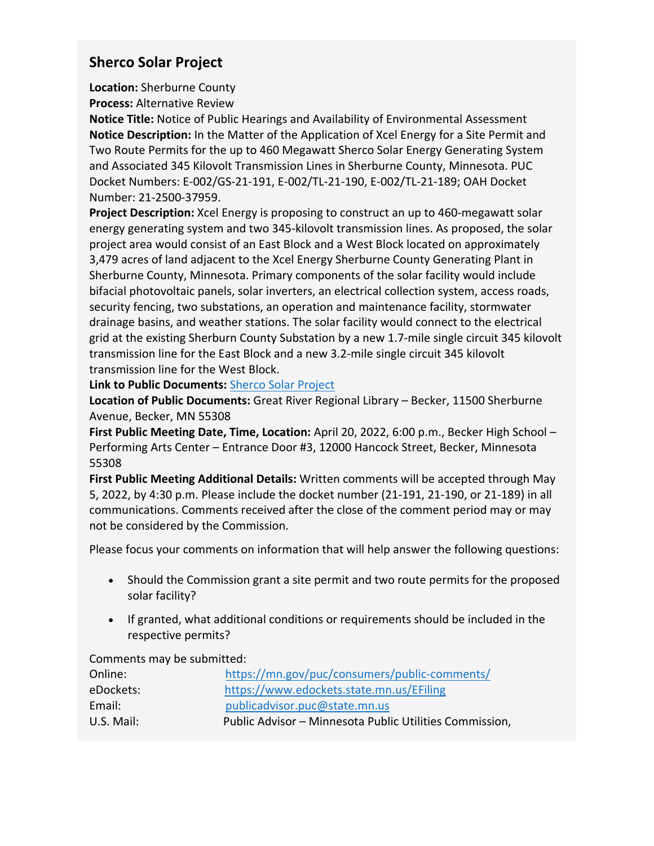#### **Sherco Solar Project**

**Location:** Sherburne County **Process:** Alternative Review

**Notice Title:** Notice of Public Hearings and Availability of Environmental Assessment **Notice Description:** In the Matter of the Application of Xcel Energy for a Site Permit and Two Route Permits for the up to 460 Megawatt Sherco Solar Energy Generating System and Associated 345 Kilovolt Transmission Lines in Sherburne County, Minnesota. PUC Docket Numbers: E-002/GS-21-191, E-002/TL-21-190, E-002/TL-21-189; OAH Docket Number: 21-2500-37959.

**Project Description:** Xcel Energy is proposing to construct an up to 460-megawatt solar energy generating system and two 345-kilovolt transmission lines. As proposed, the solar project area would consist of an East Block and a West Block located on approximately 3,479 acres of land adjacent to the Xcel Energy Sherburne County Generating Plant in Sherburne County, Minnesota. Primary components of the solar facility would include bifacial photovoltaic panels, solar inverters, an electrical collection system, access roads, security fencing, two substations, an operation and maintenance facility, stormwater drainage basins, and weather stations. The solar facility would connect to the electrical grid at the existing Sherburn County Substation by a new 1.7-mile single circuit 345 kilovolt transmission line for the East Block and a new 3.2-mile single circuit 345 kilovolt transmission line for the West Block.

**Link to Public Documents:** [Sherco Solar Project](https://apps.commerce.state.mn.us/eera/web/project/14335)

**Location of Public Documents:** Great River Regional Library – Becker, 11500 Sherburne Avenue, Becker, MN 55308

**First Public Meeting Date, Time, Location:** April 20, 2022, 6:00 p.m., Becker High School – Performing Arts Center – Entrance Door #3, 12000 Hancock Street, Becker, Minnesota 55308

**First Public Meeting Additional Details:** Written comments will be accepted through May 5, 2022, by 4:30 p.m. Please include the docket number (21-191, 21-190, or 21-189) in all communications. Comments received after the close of the comment period may or may not be considered by the Commission.

Please focus your comments on information that will help answer the following questions:

- Should the Commission grant a site permit and two route permits for the proposed solar facility?
- If granted, what additional conditions or requirements should be included in the respective permits?

Comments may be submitted:

| Online:    | https://mn.gov/puc/consumers/public-comments/           |
|------------|---------------------------------------------------------|
| eDockets:  | https://www.edockets.state.mn.us/EFiling                |
| Email:     | publicadvisor.puc@state.mn.us                           |
| U.S. Mail: | Public Advisor - Minnesota Public Utilities Commission, |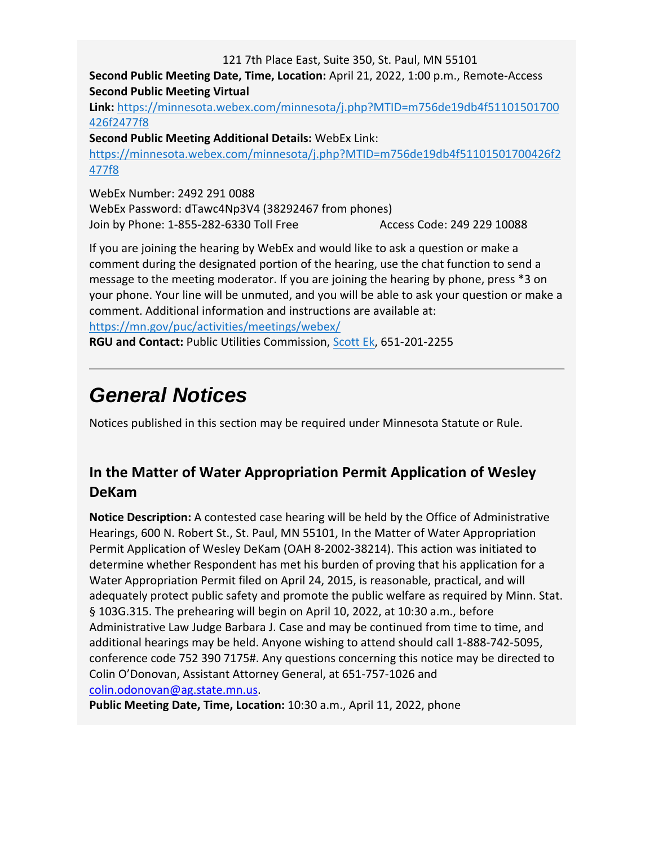121 7th Place East, Suite 350, St. Paul, MN 55101

**Second Public Meeting Date, Time, Location:** April 21, 2022, 1:00 p.m., Remote-Access **Second Public Meeting Virtual** 

**Link:** [https://minnesota.webex.com/minnesota/j.php?MTID=m756de19db4f51101501700](https://minnesota.webex.com/minnesota/j.php?MTID=m756de19db4f51101501700426f2477f8) [426f2477f8](https://minnesota.webex.com/minnesota/j.php?MTID=m756de19db4f51101501700426f2477f8)

**Second Public Meeting Additional Details:** WebEx Link:

[https://minnesota.webex.com/minnesota/j.php?MTID=m756de19db4f51101501700426f2](https://minnesota.webex.com/minnesota/j.php?MTID=m756de19db4f51101501700426f2477f8) [477f8](https://minnesota.webex.com/minnesota/j.php?MTID=m756de19db4f51101501700426f2477f8)

WebEx Number: 2492 291 0088 WebEx Password: dTawc4Np3V4 (38292467 from phones) Join by Phone: 1-855-282-6330 Toll Free Access Code: 249 229 10088

If you are joining the hearing by WebEx and would like to ask a question or make a comment during the designated portion of the hearing, use the chat function to send a message to the meeting moderator. If you are joining the hearing by phone, press \*3 on your phone. Your line will be unmuted, and you will be able to ask your question or make a comment. Additional information and instructions are available at:

<https://mn.gov/puc/activities/meetings/webex/>

**RGU and Contact:** Public Utilities Commission, [Scott Ek,](mailto:scott.ek@state.mn.us) 651-201-2255

# *General Notices*

Notices published in this section may be required under Minnesota Statute or Rule.

# **In the Matter of Water Appropriation Permit Application of Wesley DeKam**

**Notice Description:** A contested case hearing will be held by the Office of Administrative Hearings, 600 N. Robert St., St. Paul, MN 55101, In the Matter of Water Appropriation Permit Application of Wesley DeKam (OAH 8-2002-38214). This action was initiated to determine whether Respondent has met his burden of proving that his application for a Water Appropriation Permit filed on April 24, 2015, is reasonable, practical, and will adequately protect public safety and promote the public welfare as required by Minn. Stat. § 103G.315. The prehearing will begin on April 10, 2022, at 10:30 a.m., before Administrative Law Judge Barbara J. Case and may be continued from time to time, and additional hearings may be held. Anyone wishing to attend should call 1-888-742-5095, conference code 752 390 7175#. Any questions concerning this notice may be directed to Colin O'Donovan, Assistant Attorney General, at 651-757-1026 and [colin.odonovan@ag.state.mn.us.](mailto:colin.odonovan@ag.state.mn.us)

**Public Meeting Date, Time, Location:** 10:30 a.m., April 11, 2022, phone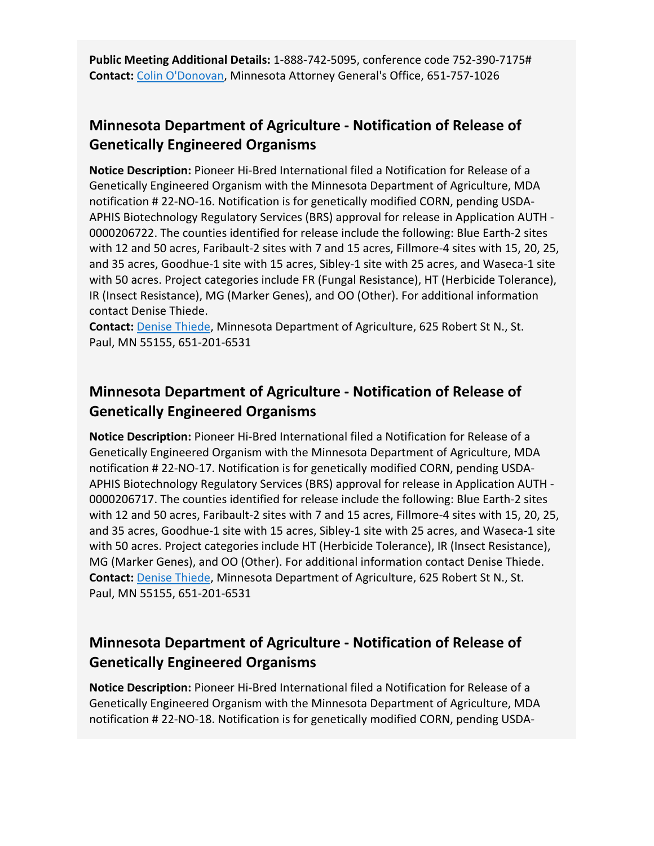**Public Meeting Additional Details:** 1-888-742-5095, conference code 752-390-7175# **Contact:** [Colin O'Donovan,](mailto:colin.odonovan@ag.state.mn.us) Minnesota Attorney General's Office, 651-757-1026

### **Minnesota Department of Agriculture - Notification of Release of Genetically Engineered Organisms**

**Notice Description:** Pioneer Hi-Bred International filed a Notification for Release of a Genetically Engineered Organism with the Minnesota Department of Agriculture, MDA notification # 22-NO-16. Notification is for genetically modified CORN, pending USDA-APHIS Biotechnology Regulatory Services (BRS) approval for release in Application AUTH - 0000206722. The counties identified for release include the following: Blue Earth-2 sites with 12 and 50 acres, Faribault-2 sites with 7 and 15 acres, Fillmore-4 sites with 15, 20, 25, and 35 acres, Goodhue-1 site with 15 acres, Sibley-1 site with 25 acres, and Waseca-1 site with 50 acres. Project categories include FR (Fungal Resistance), HT (Herbicide Tolerance), IR (Insect Resistance), MG (Marker Genes), and OO (Other). For additional information contact Denise Thiede.

**Contact:** [Denise Thiede,](mailto:denise.thiede@state.mn.us) Minnesota Department of Agriculture, 625 Robert St N., St. Paul, MN 55155, 651-201-6531

# **Minnesota Department of Agriculture - Notification of Release of Genetically Engineered Organisms**

**Notice Description:** Pioneer Hi-Bred International filed a Notification for Release of a Genetically Engineered Organism with the Minnesota Department of Agriculture, MDA notification # 22-NO-17. Notification is for genetically modified CORN, pending USDA-APHIS Biotechnology Regulatory Services (BRS) approval for release in Application AUTH - 0000206717. The counties identified for release include the following: Blue Earth-2 sites with 12 and 50 acres, Faribault-2 sites with 7 and 15 acres, Fillmore-4 sites with 15, 20, 25, and 35 acres, Goodhue-1 site with 15 acres, Sibley-1 site with 25 acres, and Waseca-1 site with 50 acres. Project categories include HT (Herbicide Tolerance), IR (Insect Resistance), MG (Marker Genes), and OO (Other). For additional information contact Denise Thiede. **Contact:** [Denise Thiede,](mailto:denise.thiede@state.mn.us) Minnesota Department of Agriculture, 625 Robert St N., St. Paul, MN 55155, 651-201-6531

# **Minnesota Department of Agriculture - Notification of Release of Genetically Engineered Organisms**

**Notice Description:** Pioneer Hi-Bred International filed a Notification for Release of a Genetically Engineered Organism with the Minnesota Department of Agriculture, MDA notification # 22-NO-18. Notification is for genetically modified CORN, pending USDA-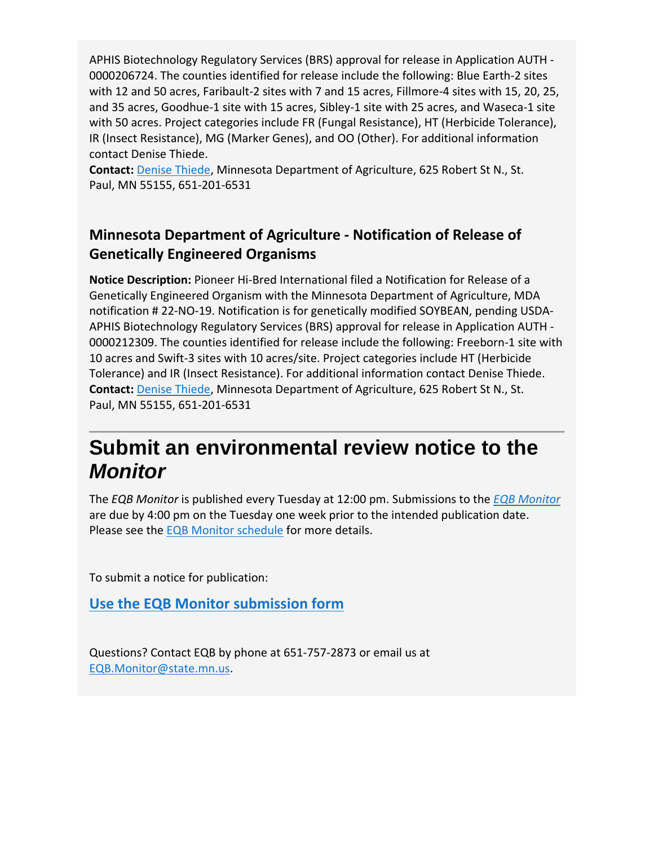APHIS Biotechnology Regulatory Services (BRS) approval for release in Application AUTH - 0000206724. The counties identified for release include the following: Blue Earth-2 sites with 12 and 50 acres, Faribault-2 sites with 7 and 15 acres, Fillmore-4 sites with 15, 20, 25, and 35 acres, Goodhue-1 site with 15 acres, Sibley-1 site with 25 acres, and Waseca-1 site with 50 acres. Project categories include FR (Fungal Resistance), HT (Herbicide Tolerance), IR (Insect Resistance), MG (Marker Genes), and OO (Other). For additional information contact Denise Thiede.

**Contact:** [Denise Thiede,](mailto:denise.thiede@state.mn.us) Minnesota Department of Agriculture, 625 Robert St N., St. Paul, MN 55155, 651-201-6531

# **Minnesota Department of Agriculture - Notification of Release of Genetically Engineered Organisms**

**Notice Description:** Pioneer Hi-Bred International filed a Notification for Release of a Genetically Engineered Organism with the Minnesota Department of Agriculture, MDA notification # 22-NO-19. Notification is for genetically modified SOYBEAN, pending USDA-APHIS Biotechnology Regulatory Services (BRS) approval for release in Application AUTH - 0000212309. The counties identified for release include the following: Freeborn-1 site with 10 acres and Swift-3 sites with 10 acres/site. Project categories include HT (Herbicide Tolerance) and IR (Insect Resistance). For additional information contact Denise Thiede. **Contact:** [Denise Thiede,](mailto:denise.thiede@state.mn.us) Minnesota Department of Agriculture, 625 Robert St N., St. Paul, MN 55155, 651-201-6531

# **Submit an environmental review notice to the**  *Monitor*

The *EQB Monitor* is published every Tuesday at 12:00 pm. Submissions to the *[EQB Monitor](https://www.eqb.state.mn.us/eqb-monitor)* are due by 4:00 pm on the Tuesday one week prior to the intended publication date. Please see the [EQB Monitor schedule](https://www.eqb.state.mn.us/sites/default/files/documents/2022%20EQB%20Monitor%20Publication%20Calendar.pdf) for more details.

To submit a notice for publication:

**Use the EQB Monitor [submission form](https://survey.mn.gov/s.asp?k=163604157620)**

Questions? Contact EQB by phone at 651-757-2873 or email us at [EQB.Monitor@state.mn.us.](mailto:EQB.Monitor@state.mn.us)